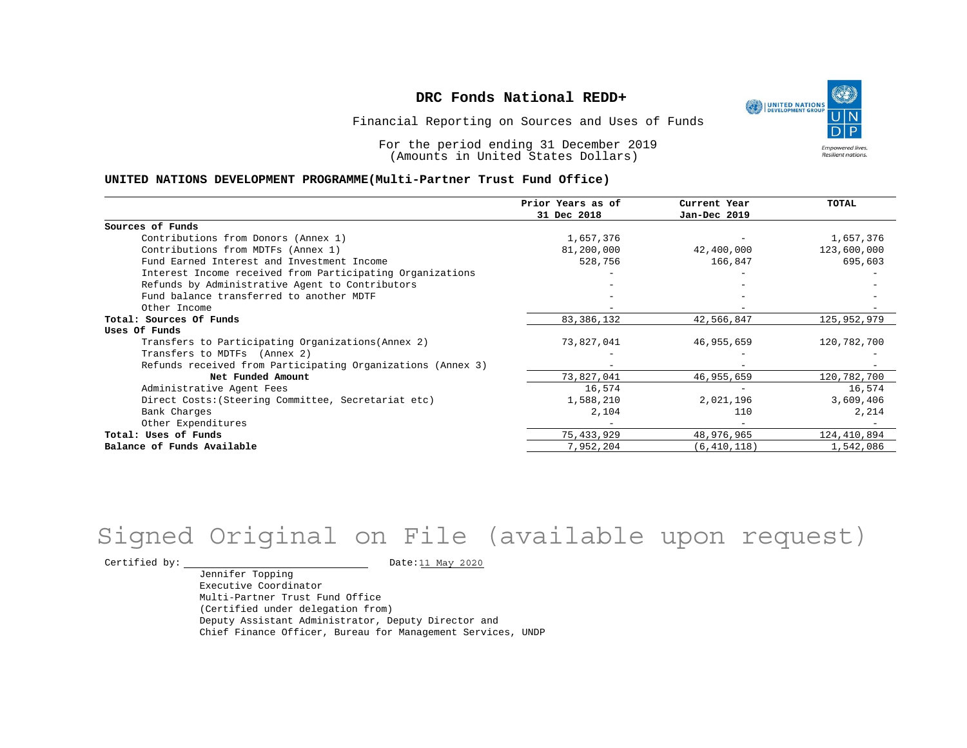UNITED NATIONS **Empowered lives Resilient nations.** 

Financial Reporting on Sources and Uses of Funds

For the period ending 31 December 2019 (Amounts in United States Dollars)

#### **UNITED NATIONS DEVELOPMENT PROGRAMME(Multi-Partner Trust Fund Office)**

|                                                             | Prior Years as of<br>31 Dec 2018 | Current Year<br>Jan-Dec 2019 | TOTAL       |
|-------------------------------------------------------------|----------------------------------|------------------------------|-------------|
|                                                             |                                  |                              |             |
| Sources of Funds                                            |                                  |                              |             |
| Contributions from Donors (Annex 1)                         | 1,657,376                        |                              | 1,657,376   |
| Contributions from MDTFs (Annex 1)                          | 81,200,000                       | 42,400,000                   | 123,600,000 |
| Fund Earned Interest and Investment Income                  | 528,756                          | 166,847                      | 695,603     |
| Interest Income received from Participating Organizations   |                                  |                              |             |
| Refunds by Administrative Agent to Contributors             |                                  |                              |             |
| Fund balance transferred to another MDTF                    |                                  |                              |             |
| Other Income                                                |                                  |                              |             |
| Total: Sources Of Funds                                     | 83, 386, 132                     | 42,566,847                   | 125,952,979 |
| Uses Of Funds                                               |                                  |                              |             |
| Transfers to Participating Organizations (Annex 2)          | 73,827,041                       | 46,955,659                   | 120,782,700 |
| Transfers to MDTFs (Annex 2)                                |                                  |                              |             |
| Refunds received from Participating Organizations (Annex 3) | $-$                              |                              |             |
| Net Funded Amount                                           | 73,827,041                       | 46,955,659                   | 120,782,700 |
| Administrative Agent Fees                                   | 16,574                           |                              | 16,574      |
| Direct Costs: (Steering Committee, Secretariat etc)         | 1,588,210                        | 2,021,196                    | 3,609,406   |
| Bank Charges                                                | 2,104                            | 110                          | 2,214       |
| Other Expenditures                                          |                                  |                              |             |
| Total: Uses of Funds                                        | 75, 433, 929                     | 48,976,965                   | 124,410,894 |
| Balance of Funds Available                                  | 7,952,204                        | (6, 410, 118)                | 1,542,086   |

## Signed Original on File (available upon request)

Certified by: Date:11 May 2020

Jennifer Topping Executive Coordinator Multi-Partner Trust Fund Office (Certified under delegation from) Deputy Assistant Administrator, Deputy Director and Chief Finance Officer, Bureau for Management Services, UNDP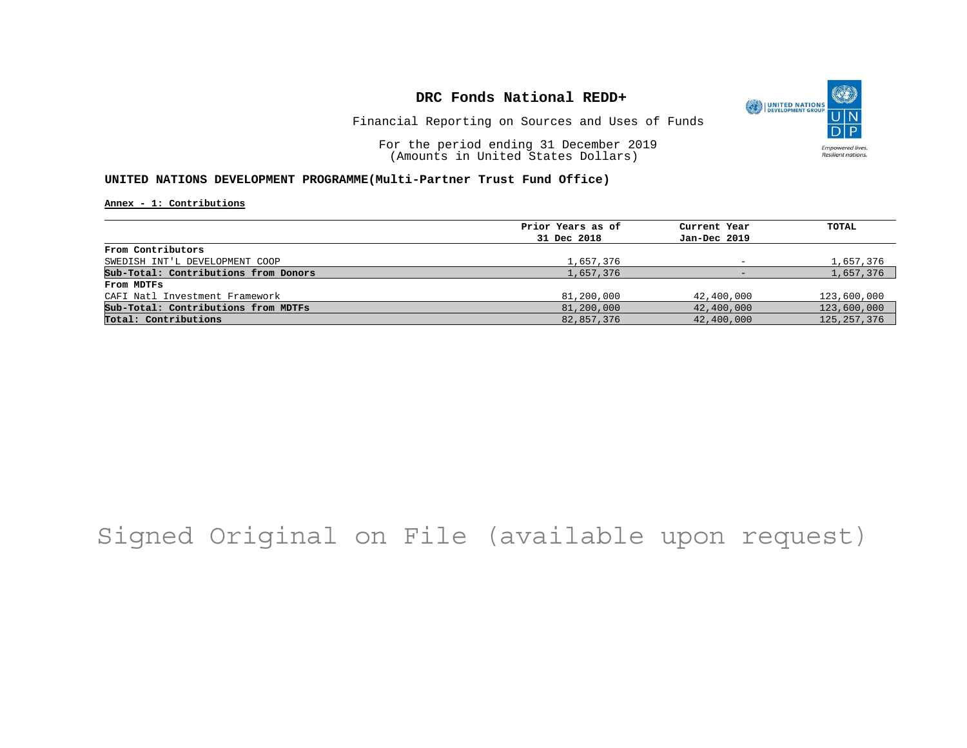

Financial Reporting on Sources and Uses of Funds

For the period ending 31 December 2019 (Amounts in United States Dollars)

#### **UNITED NATIONS DEVELOPMENT PROGRAMME(Multi-Partner Trust Fund Office)**

**Annex - 1: Contributions**

| Prior Years as of | Current Year | TOTAL         |
|-------------------|--------------|---------------|
| 31 Dec 2018       | Jan-Dec 2019 |               |
|                   |              |               |
| 1,657,376         |              | 1,657,376     |
| 1,657,376         |              | 1,657,376     |
|                   |              |               |
| 81,200,000        | 42,400,000   | 123,600,000   |
| 81,200,000        | 42,400,000   | 123,600,000   |
| 82,857,376        | 42,400,000   | 125, 257, 376 |
|                   |              |               |

## Signed Original on File (available upon request)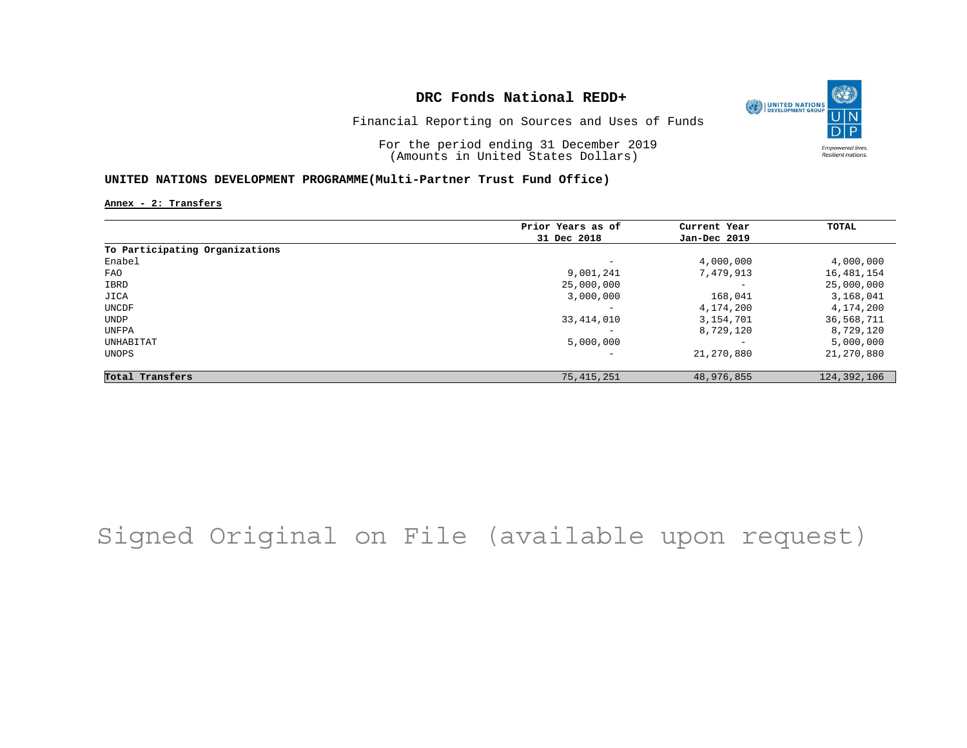

Financial Reporting on Sources and Uses of Funds

For the period ending 31 December 2019 (Amounts in United States Dollars)

#### **UNITED NATIONS DEVELOPMENT PROGRAMME(Multi-Partner Trust Fund Office)**

**Annex - 2: Transfers**

|                                | Prior Years as of        | Current Year             | TOTAL         |
|--------------------------------|--------------------------|--------------------------|---------------|
|                                | 31 Dec 2018              | Jan-Dec 2019             |               |
| To Participating Organizations |                          |                          |               |
| Enabel                         | $\qquad \qquad -$        | 4,000,000                | 4,000,000     |
| FAO                            | 9,001,241                | 7,479,913                | 16,481,154    |
| IBRD                           | 25,000,000               | $\overline{\phantom{m}}$ | 25,000,000    |
| JICA                           | 3,000,000                | 168,041                  | 3,168,041     |
| UNCDF                          |                          | 4,174,200                | 4,174,200     |
| UNDP                           | 33, 414, 010             | 3,154,701                | 36,568,711    |
| UNFPA                          |                          | 8,729,120                | 8,729,120     |
| UNHABITAT                      | 5,000,000                | $\overline{\phantom{a}}$ | 5,000,000     |
| UNOPS                          | $\overline{\phantom{0}}$ | 21,270,880               | 21,270,880    |
| Total Transfers                | 75, 415, 251             | 48,976,855               | 124, 392, 106 |

## Signed Original on File (available upon request)